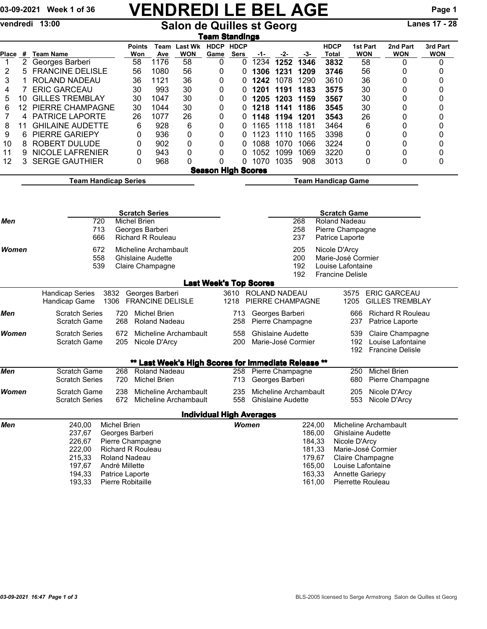# 03-09-2021 Week 1 of 36 VENDREDI LE BEL AGE Page 1

vendredi 13:00 Salon de Quilles st Georg Lanes 17 - 28

| Team Last Wk<br>HDCP HDCP<br><b>HDCP</b><br><b>Points</b><br>1st Part<br>2nd Part<br>Place<br># Team Name<br><b>WON</b><br>Sers<br><b>WON</b><br>WON<br>WON<br>Won<br>Ave<br>Game<br>Total<br>-3-<br>$-1-$<br>-2-<br>1176<br>58<br>2<br>Georges Barberi<br>58<br>58<br>0<br>1234<br>1252<br>1346<br>3832<br>0<br>0<br>1<br>0<br>56<br>56<br>2<br>5<br><b>FRANCINE DELISLE</b><br>1080<br>56<br>0<br>0<br>1231<br>1209<br>3746<br>0<br>0<br>1306<br>3<br>36<br>1121<br>36<br>1242 1078<br>36<br>0<br>0<br>ROLAND NADEAU<br>1290<br>3610<br>1<br>0<br>0<br>30<br>993<br>30<br><b>ERIC GARCEAU</b><br>3575<br>30<br>0<br>0<br>7<br>0<br>1201<br>1191<br>1183<br>4<br>0<br><b>GILLES TREMBLAY</b><br>0<br>30<br>1047<br>30<br>30<br>0<br>5<br>10<br>0<br>1205<br>1203<br>1159<br>3567<br>0<br>30<br>0<br>PIERRE CHAMPAGNE<br>1044<br>30<br>30<br>0<br>6<br>12<br>0<br>1141<br>1186<br>3545<br>0<br>1218<br>PATRICE LAPORTE<br>26<br>1077<br>26<br>7<br>0<br>1194 1201<br>3543<br>26<br>0<br>0<br>4<br>0<br>1148<br>928<br>6<br>0<br><b>GHILAINE AUDETTE</b><br>6<br>0<br>1118 1181<br>3464<br>6<br>0<br>8<br>1165<br>11<br>0<br>936<br>3398<br>9<br><b>PIERRE GARIEPY</b><br>0<br>1123<br>1110<br>1165<br>0<br>0<br>6<br>0<br>0<br>0<br>0<br>902<br>1088<br>1070<br>0<br><b>ROBERT DULUDE</b><br>0<br>0<br>1066<br>3224<br>0<br>10<br>8<br>0<br>0<br>0<br>3220<br>0<br>11<br><b>NICOLE LAFRENIER</b><br>943<br>0<br>0<br>1052<br>1099<br>1069<br>0<br>0<br>9<br>0<br>0<br>SERGE GAUTHIER<br>0<br>968<br>0<br>1070<br>1035<br>908<br>0<br>0<br>12<br>3<br>0<br>0<br>3013<br>0<br><b>Season High Scores</b><br><b>Team Handicap Series</b><br><b>Team Handicap Game</b><br><b>Scratch Series</b><br><b>Scratch Game</b><br>720<br><b>Michel Brien</b><br>268<br><b>Roland Nadeau</b><br>Men<br>713<br>258<br>Pierre Champagne<br>Georges Barberi<br>237<br>666<br><b>Richard R Rouleau</b><br>Patrice Laporte<br>672<br>Women<br>Micheline Archambault<br>205<br>Nicole D'Arcy<br>558<br>200<br>Marie-José Cormier<br><b>Ghislaine Audette</b><br>192<br>539<br>Claire Champagne<br>Louise Lafontaine<br>192<br><b>Francine Delisle</b><br><b>Last Week's Top Scores</b><br>ROLAND NADEAU<br><b>ERIC GARCEAU</b><br><b>Handicap Series</b><br>3832<br>Georges Barberi<br>3610<br>3575<br><b>FRANCINE DELISLE</b><br>1306<br>PIERRE CHAMPAGNE<br><b>GILLES TREMBLAY</b><br>Handicap Game<br>1218<br>1205<br><b>Scratch Series</b><br>Michel Brien<br><b>Richard R Rouleau</b><br>720<br>Georges Barberi<br>666<br>Men<br>713<br>Scratch Game<br>268<br><b>Roland Nadeau</b><br>258<br>Pierre Champagne<br>237<br>Patrice Laporte<br>558<br><b>Scratch Series</b><br>672<br>Micheline Archambault<br><b>Ghislaine Audette</b><br>539<br>Women<br>Claire Champagne<br>192<br>Louise Lafontaine<br>Scratch Game<br>205<br>Nicole D'Arcy<br>200<br>Marie-José Cormier<br>192<br><b>Francine Delisle</b><br>** Last Week's High Scores for Immediate Release **<br><b>Scratch Game</b><br><b>Roland Nadeau</b><br><b>Michel Brien</b><br>Men<br>268<br>258<br>Pierre Champagne<br>250<br><b>Scratch Series</b><br>720<br><b>Michel Brien</b><br>713 Georges Barberi<br>680<br>Pierre Champagne<br>235 Micheline Archambault<br>205 Nicole D'Arcy<br>Women<br>Scratch Game<br>238<br>Micheline Archambault<br><b>Scratch Series</b><br>672 Micheline Archambault<br>558<br><b>Ghislaine Audette</b><br>553 Nicole D'Arcy<br><b>Individual High Averages</b><br>Men<br>Michel Brien<br><b>Women</b><br>Micheline Archambault<br>240,00<br>224,00<br>237,67<br>186,00<br>Georges Barberi<br><b>Ghislaine Audette</b><br>226,67<br>184,33<br>Pierre Champagne<br>Nicole D'Arcy<br>222,00<br>181,33<br>Marie-José Cormier<br><b>Richard R Rouleau</b><br>215,33<br>Roland Nadeau<br>179,67<br>Claire Champagne<br>197,67<br>165,00<br>André Millette<br>Louise Lafontaine<br>194,33<br>163,33<br><b>Annette Gariepy</b><br>Patrice Laporte<br>Pierre Robitaille<br>Pierrette Rouleau<br>193,33<br>161,00 |  |  |  |  |  | <u>Team Standings</u> |  |  |  |  |  |  |  |          |  |  |  |
|-----------------------------------------------------------------------------------------------------------------------------------------------------------------------------------------------------------------------------------------------------------------------------------------------------------------------------------------------------------------------------------------------------------------------------------------------------------------------------------------------------------------------------------------------------------------------------------------------------------------------------------------------------------------------------------------------------------------------------------------------------------------------------------------------------------------------------------------------------------------------------------------------------------------------------------------------------------------------------------------------------------------------------------------------------------------------------------------------------------------------------------------------------------------------------------------------------------------------------------------------------------------------------------------------------------------------------------------------------------------------------------------------------------------------------------------------------------------------------------------------------------------------------------------------------------------------------------------------------------------------------------------------------------------------------------------------------------------------------------------------------------------------------------------------------------------------------------------------------------------------------------------------------------------------------------------------------------------------------------------------------------------------------------------------------------------------------------------------------------------------------------------------------------------------------------------------------------------------------------------------------------------------------------------------------------------------------------------------------------------------------------------------------------------------------------------------------------------------------------------------------------------------------------------------------------------------------------------------------------------------------------------------------------------------------------------------------------------------------------------------------------------------------------------------------------------------------------------------------------------------------------------------------------------------------------------------------------------------------------------------------------------------------------------------------------------------------------------------------------------------------------------------------------------------------------------------------------------------------------------------------------------------------------------------------------------------------------------------------------------------------------------------------------------------------------------------------------------------------------------------------------------------------------------------------------------------------------------------------------------------------------------------------------------------------------------------------------------------------------------------------------------------------------------------------------------------------------------------------------------------------------------------------------------------------------------------------------------------------------------|--|--|--|--|--|-----------------------|--|--|--|--|--|--|--|----------|--|--|--|
|                                                                                                                                                                                                                                                                                                                                                                                                                                                                                                                                                                                                                                                                                                                                                                                                                                                                                                                                                                                                                                                                                                                                                                                                                                                                                                                                                                                                                                                                                                                                                                                                                                                                                                                                                                                                                                                                                                                                                                                                                                                                                                                                                                                                                                                                                                                                                                                                                                                                                                                                                                                                                                                                                                                                                                                                                                                                                                                                                                                                                                                                                                                                                                                                                                                                                                                                                                                                                                                                                                                                                                                                                                                                                                                                                                                                                                                                                                                                                                                         |  |  |  |  |  |                       |  |  |  |  |  |  |  | 3rd Part |  |  |  |
|                                                                                                                                                                                                                                                                                                                                                                                                                                                                                                                                                                                                                                                                                                                                                                                                                                                                                                                                                                                                                                                                                                                                                                                                                                                                                                                                                                                                                                                                                                                                                                                                                                                                                                                                                                                                                                                                                                                                                                                                                                                                                                                                                                                                                                                                                                                                                                                                                                                                                                                                                                                                                                                                                                                                                                                                                                                                                                                                                                                                                                                                                                                                                                                                                                                                                                                                                                                                                                                                                                                                                                                                                                                                                                                                                                                                                                                                                                                                                                                         |  |  |  |  |  |                       |  |  |  |  |  |  |  |          |  |  |  |
|                                                                                                                                                                                                                                                                                                                                                                                                                                                                                                                                                                                                                                                                                                                                                                                                                                                                                                                                                                                                                                                                                                                                                                                                                                                                                                                                                                                                                                                                                                                                                                                                                                                                                                                                                                                                                                                                                                                                                                                                                                                                                                                                                                                                                                                                                                                                                                                                                                                                                                                                                                                                                                                                                                                                                                                                                                                                                                                                                                                                                                                                                                                                                                                                                                                                                                                                                                                                                                                                                                                                                                                                                                                                                                                                                                                                                                                                                                                                                                                         |  |  |  |  |  |                       |  |  |  |  |  |  |  |          |  |  |  |
|                                                                                                                                                                                                                                                                                                                                                                                                                                                                                                                                                                                                                                                                                                                                                                                                                                                                                                                                                                                                                                                                                                                                                                                                                                                                                                                                                                                                                                                                                                                                                                                                                                                                                                                                                                                                                                                                                                                                                                                                                                                                                                                                                                                                                                                                                                                                                                                                                                                                                                                                                                                                                                                                                                                                                                                                                                                                                                                                                                                                                                                                                                                                                                                                                                                                                                                                                                                                                                                                                                                                                                                                                                                                                                                                                                                                                                                                                                                                                                                         |  |  |  |  |  |                       |  |  |  |  |  |  |  |          |  |  |  |
|                                                                                                                                                                                                                                                                                                                                                                                                                                                                                                                                                                                                                                                                                                                                                                                                                                                                                                                                                                                                                                                                                                                                                                                                                                                                                                                                                                                                                                                                                                                                                                                                                                                                                                                                                                                                                                                                                                                                                                                                                                                                                                                                                                                                                                                                                                                                                                                                                                                                                                                                                                                                                                                                                                                                                                                                                                                                                                                                                                                                                                                                                                                                                                                                                                                                                                                                                                                                                                                                                                                                                                                                                                                                                                                                                                                                                                                                                                                                                                                         |  |  |  |  |  |                       |  |  |  |  |  |  |  |          |  |  |  |
|                                                                                                                                                                                                                                                                                                                                                                                                                                                                                                                                                                                                                                                                                                                                                                                                                                                                                                                                                                                                                                                                                                                                                                                                                                                                                                                                                                                                                                                                                                                                                                                                                                                                                                                                                                                                                                                                                                                                                                                                                                                                                                                                                                                                                                                                                                                                                                                                                                                                                                                                                                                                                                                                                                                                                                                                                                                                                                                                                                                                                                                                                                                                                                                                                                                                                                                                                                                                                                                                                                                                                                                                                                                                                                                                                                                                                                                                                                                                                                                         |  |  |  |  |  |                       |  |  |  |  |  |  |  |          |  |  |  |
|                                                                                                                                                                                                                                                                                                                                                                                                                                                                                                                                                                                                                                                                                                                                                                                                                                                                                                                                                                                                                                                                                                                                                                                                                                                                                                                                                                                                                                                                                                                                                                                                                                                                                                                                                                                                                                                                                                                                                                                                                                                                                                                                                                                                                                                                                                                                                                                                                                                                                                                                                                                                                                                                                                                                                                                                                                                                                                                                                                                                                                                                                                                                                                                                                                                                                                                                                                                                                                                                                                                                                                                                                                                                                                                                                                                                                                                                                                                                                                                         |  |  |  |  |  |                       |  |  |  |  |  |  |  |          |  |  |  |
|                                                                                                                                                                                                                                                                                                                                                                                                                                                                                                                                                                                                                                                                                                                                                                                                                                                                                                                                                                                                                                                                                                                                                                                                                                                                                                                                                                                                                                                                                                                                                                                                                                                                                                                                                                                                                                                                                                                                                                                                                                                                                                                                                                                                                                                                                                                                                                                                                                                                                                                                                                                                                                                                                                                                                                                                                                                                                                                                                                                                                                                                                                                                                                                                                                                                                                                                                                                                                                                                                                                                                                                                                                                                                                                                                                                                                                                                                                                                                                                         |  |  |  |  |  |                       |  |  |  |  |  |  |  |          |  |  |  |
|                                                                                                                                                                                                                                                                                                                                                                                                                                                                                                                                                                                                                                                                                                                                                                                                                                                                                                                                                                                                                                                                                                                                                                                                                                                                                                                                                                                                                                                                                                                                                                                                                                                                                                                                                                                                                                                                                                                                                                                                                                                                                                                                                                                                                                                                                                                                                                                                                                                                                                                                                                                                                                                                                                                                                                                                                                                                                                                                                                                                                                                                                                                                                                                                                                                                                                                                                                                                                                                                                                                                                                                                                                                                                                                                                                                                                                                                                                                                                                                         |  |  |  |  |  |                       |  |  |  |  |  |  |  |          |  |  |  |
|                                                                                                                                                                                                                                                                                                                                                                                                                                                                                                                                                                                                                                                                                                                                                                                                                                                                                                                                                                                                                                                                                                                                                                                                                                                                                                                                                                                                                                                                                                                                                                                                                                                                                                                                                                                                                                                                                                                                                                                                                                                                                                                                                                                                                                                                                                                                                                                                                                                                                                                                                                                                                                                                                                                                                                                                                                                                                                                                                                                                                                                                                                                                                                                                                                                                                                                                                                                                                                                                                                                                                                                                                                                                                                                                                                                                                                                                                                                                                                                         |  |  |  |  |  |                       |  |  |  |  |  |  |  |          |  |  |  |
|                                                                                                                                                                                                                                                                                                                                                                                                                                                                                                                                                                                                                                                                                                                                                                                                                                                                                                                                                                                                                                                                                                                                                                                                                                                                                                                                                                                                                                                                                                                                                                                                                                                                                                                                                                                                                                                                                                                                                                                                                                                                                                                                                                                                                                                                                                                                                                                                                                                                                                                                                                                                                                                                                                                                                                                                                                                                                                                                                                                                                                                                                                                                                                                                                                                                                                                                                                                                                                                                                                                                                                                                                                                                                                                                                                                                                                                                                                                                                                                         |  |  |  |  |  |                       |  |  |  |  |  |  |  |          |  |  |  |
|                                                                                                                                                                                                                                                                                                                                                                                                                                                                                                                                                                                                                                                                                                                                                                                                                                                                                                                                                                                                                                                                                                                                                                                                                                                                                                                                                                                                                                                                                                                                                                                                                                                                                                                                                                                                                                                                                                                                                                                                                                                                                                                                                                                                                                                                                                                                                                                                                                                                                                                                                                                                                                                                                                                                                                                                                                                                                                                                                                                                                                                                                                                                                                                                                                                                                                                                                                                                                                                                                                                                                                                                                                                                                                                                                                                                                                                                                                                                                                                         |  |  |  |  |  |                       |  |  |  |  |  |  |  |          |  |  |  |
|                                                                                                                                                                                                                                                                                                                                                                                                                                                                                                                                                                                                                                                                                                                                                                                                                                                                                                                                                                                                                                                                                                                                                                                                                                                                                                                                                                                                                                                                                                                                                                                                                                                                                                                                                                                                                                                                                                                                                                                                                                                                                                                                                                                                                                                                                                                                                                                                                                                                                                                                                                                                                                                                                                                                                                                                                                                                                                                                                                                                                                                                                                                                                                                                                                                                                                                                                                                                                                                                                                                                                                                                                                                                                                                                                                                                                                                                                                                                                                                         |  |  |  |  |  |                       |  |  |  |  |  |  |  |          |  |  |  |
|                                                                                                                                                                                                                                                                                                                                                                                                                                                                                                                                                                                                                                                                                                                                                                                                                                                                                                                                                                                                                                                                                                                                                                                                                                                                                                                                                                                                                                                                                                                                                                                                                                                                                                                                                                                                                                                                                                                                                                                                                                                                                                                                                                                                                                                                                                                                                                                                                                                                                                                                                                                                                                                                                                                                                                                                                                                                                                                                                                                                                                                                                                                                                                                                                                                                                                                                                                                                                                                                                                                                                                                                                                                                                                                                                                                                                                                                                                                                                                                         |  |  |  |  |  |                       |  |  |  |  |  |  |  |          |  |  |  |
|                                                                                                                                                                                                                                                                                                                                                                                                                                                                                                                                                                                                                                                                                                                                                                                                                                                                                                                                                                                                                                                                                                                                                                                                                                                                                                                                                                                                                                                                                                                                                                                                                                                                                                                                                                                                                                                                                                                                                                                                                                                                                                                                                                                                                                                                                                                                                                                                                                                                                                                                                                                                                                                                                                                                                                                                                                                                                                                                                                                                                                                                                                                                                                                                                                                                                                                                                                                                                                                                                                                                                                                                                                                                                                                                                                                                                                                                                                                                                                                         |  |  |  |  |  |                       |  |  |  |  |  |  |  |          |  |  |  |
|                                                                                                                                                                                                                                                                                                                                                                                                                                                                                                                                                                                                                                                                                                                                                                                                                                                                                                                                                                                                                                                                                                                                                                                                                                                                                                                                                                                                                                                                                                                                                                                                                                                                                                                                                                                                                                                                                                                                                                                                                                                                                                                                                                                                                                                                                                                                                                                                                                                                                                                                                                                                                                                                                                                                                                                                                                                                                                                                                                                                                                                                                                                                                                                                                                                                                                                                                                                                                                                                                                                                                                                                                                                                                                                                                                                                                                                                                                                                                                                         |  |  |  |  |  |                       |  |  |  |  |  |  |  |          |  |  |  |
|                                                                                                                                                                                                                                                                                                                                                                                                                                                                                                                                                                                                                                                                                                                                                                                                                                                                                                                                                                                                                                                                                                                                                                                                                                                                                                                                                                                                                                                                                                                                                                                                                                                                                                                                                                                                                                                                                                                                                                                                                                                                                                                                                                                                                                                                                                                                                                                                                                                                                                                                                                                                                                                                                                                                                                                                                                                                                                                                                                                                                                                                                                                                                                                                                                                                                                                                                                                                                                                                                                                                                                                                                                                                                                                                                                                                                                                                                                                                                                                         |  |  |  |  |  |                       |  |  |  |  |  |  |  |          |  |  |  |
|                                                                                                                                                                                                                                                                                                                                                                                                                                                                                                                                                                                                                                                                                                                                                                                                                                                                                                                                                                                                                                                                                                                                                                                                                                                                                                                                                                                                                                                                                                                                                                                                                                                                                                                                                                                                                                                                                                                                                                                                                                                                                                                                                                                                                                                                                                                                                                                                                                                                                                                                                                                                                                                                                                                                                                                                                                                                                                                                                                                                                                                                                                                                                                                                                                                                                                                                                                                                                                                                                                                                                                                                                                                                                                                                                                                                                                                                                                                                                                                         |  |  |  |  |  |                       |  |  |  |  |  |  |  |          |  |  |  |
|                                                                                                                                                                                                                                                                                                                                                                                                                                                                                                                                                                                                                                                                                                                                                                                                                                                                                                                                                                                                                                                                                                                                                                                                                                                                                                                                                                                                                                                                                                                                                                                                                                                                                                                                                                                                                                                                                                                                                                                                                                                                                                                                                                                                                                                                                                                                                                                                                                                                                                                                                                                                                                                                                                                                                                                                                                                                                                                                                                                                                                                                                                                                                                                                                                                                                                                                                                                                                                                                                                                                                                                                                                                                                                                                                                                                                                                                                                                                                                                         |  |  |  |  |  |                       |  |  |  |  |  |  |  |          |  |  |  |
|                                                                                                                                                                                                                                                                                                                                                                                                                                                                                                                                                                                                                                                                                                                                                                                                                                                                                                                                                                                                                                                                                                                                                                                                                                                                                                                                                                                                                                                                                                                                                                                                                                                                                                                                                                                                                                                                                                                                                                                                                                                                                                                                                                                                                                                                                                                                                                                                                                                                                                                                                                                                                                                                                                                                                                                                                                                                                                                                                                                                                                                                                                                                                                                                                                                                                                                                                                                                                                                                                                                                                                                                                                                                                                                                                                                                                                                                                                                                                                                         |  |  |  |  |  |                       |  |  |  |  |  |  |  |          |  |  |  |
|                                                                                                                                                                                                                                                                                                                                                                                                                                                                                                                                                                                                                                                                                                                                                                                                                                                                                                                                                                                                                                                                                                                                                                                                                                                                                                                                                                                                                                                                                                                                                                                                                                                                                                                                                                                                                                                                                                                                                                                                                                                                                                                                                                                                                                                                                                                                                                                                                                                                                                                                                                                                                                                                                                                                                                                                                                                                                                                                                                                                                                                                                                                                                                                                                                                                                                                                                                                                                                                                                                                                                                                                                                                                                                                                                                                                                                                                                                                                                                                         |  |  |  |  |  |                       |  |  |  |  |  |  |  |          |  |  |  |
|                                                                                                                                                                                                                                                                                                                                                                                                                                                                                                                                                                                                                                                                                                                                                                                                                                                                                                                                                                                                                                                                                                                                                                                                                                                                                                                                                                                                                                                                                                                                                                                                                                                                                                                                                                                                                                                                                                                                                                                                                                                                                                                                                                                                                                                                                                                                                                                                                                                                                                                                                                                                                                                                                                                                                                                                                                                                                                                                                                                                                                                                                                                                                                                                                                                                                                                                                                                                                                                                                                                                                                                                                                                                                                                                                                                                                                                                                                                                                                                         |  |  |  |  |  |                       |  |  |  |  |  |  |  |          |  |  |  |
|                                                                                                                                                                                                                                                                                                                                                                                                                                                                                                                                                                                                                                                                                                                                                                                                                                                                                                                                                                                                                                                                                                                                                                                                                                                                                                                                                                                                                                                                                                                                                                                                                                                                                                                                                                                                                                                                                                                                                                                                                                                                                                                                                                                                                                                                                                                                                                                                                                                                                                                                                                                                                                                                                                                                                                                                                                                                                                                                                                                                                                                                                                                                                                                                                                                                                                                                                                                                                                                                                                                                                                                                                                                                                                                                                                                                                                                                                                                                                                                         |  |  |  |  |  |                       |  |  |  |  |  |  |  |          |  |  |  |
|                                                                                                                                                                                                                                                                                                                                                                                                                                                                                                                                                                                                                                                                                                                                                                                                                                                                                                                                                                                                                                                                                                                                                                                                                                                                                                                                                                                                                                                                                                                                                                                                                                                                                                                                                                                                                                                                                                                                                                                                                                                                                                                                                                                                                                                                                                                                                                                                                                                                                                                                                                                                                                                                                                                                                                                                                                                                                                                                                                                                                                                                                                                                                                                                                                                                                                                                                                                                                                                                                                                                                                                                                                                                                                                                                                                                                                                                                                                                                                                         |  |  |  |  |  |                       |  |  |  |  |  |  |  |          |  |  |  |
|                                                                                                                                                                                                                                                                                                                                                                                                                                                                                                                                                                                                                                                                                                                                                                                                                                                                                                                                                                                                                                                                                                                                                                                                                                                                                                                                                                                                                                                                                                                                                                                                                                                                                                                                                                                                                                                                                                                                                                                                                                                                                                                                                                                                                                                                                                                                                                                                                                                                                                                                                                                                                                                                                                                                                                                                                                                                                                                                                                                                                                                                                                                                                                                                                                                                                                                                                                                                                                                                                                                                                                                                                                                                                                                                                                                                                                                                                                                                                                                         |  |  |  |  |  |                       |  |  |  |  |  |  |  |          |  |  |  |
|                                                                                                                                                                                                                                                                                                                                                                                                                                                                                                                                                                                                                                                                                                                                                                                                                                                                                                                                                                                                                                                                                                                                                                                                                                                                                                                                                                                                                                                                                                                                                                                                                                                                                                                                                                                                                                                                                                                                                                                                                                                                                                                                                                                                                                                                                                                                                                                                                                                                                                                                                                                                                                                                                                                                                                                                                                                                                                                                                                                                                                                                                                                                                                                                                                                                                                                                                                                                                                                                                                                                                                                                                                                                                                                                                                                                                                                                                                                                                                                         |  |  |  |  |  |                       |  |  |  |  |  |  |  |          |  |  |  |
|                                                                                                                                                                                                                                                                                                                                                                                                                                                                                                                                                                                                                                                                                                                                                                                                                                                                                                                                                                                                                                                                                                                                                                                                                                                                                                                                                                                                                                                                                                                                                                                                                                                                                                                                                                                                                                                                                                                                                                                                                                                                                                                                                                                                                                                                                                                                                                                                                                                                                                                                                                                                                                                                                                                                                                                                                                                                                                                                                                                                                                                                                                                                                                                                                                                                                                                                                                                                                                                                                                                                                                                                                                                                                                                                                                                                                                                                                                                                                                                         |  |  |  |  |  |                       |  |  |  |  |  |  |  |          |  |  |  |
|                                                                                                                                                                                                                                                                                                                                                                                                                                                                                                                                                                                                                                                                                                                                                                                                                                                                                                                                                                                                                                                                                                                                                                                                                                                                                                                                                                                                                                                                                                                                                                                                                                                                                                                                                                                                                                                                                                                                                                                                                                                                                                                                                                                                                                                                                                                                                                                                                                                                                                                                                                                                                                                                                                                                                                                                                                                                                                                                                                                                                                                                                                                                                                                                                                                                                                                                                                                                                                                                                                                                                                                                                                                                                                                                                                                                                                                                                                                                                                                         |  |  |  |  |  |                       |  |  |  |  |  |  |  |          |  |  |  |
|                                                                                                                                                                                                                                                                                                                                                                                                                                                                                                                                                                                                                                                                                                                                                                                                                                                                                                                                                                                                                                                                                                                                                                                                                                                                                                                                                                                                                                                                                                                                                                                                                                                                                                                                                                                                                                                                                                                                                                                                                                                                                                                                                                                                                                                                                                                                                                                                                                                                                                                                                                                                                                                                                                                                                                                                                                                                                                                                                                                                                                                                                                                                                                                                                                                                                                                                                                                                                                                                                                                                                                                                                                                                                                                                                                                                                                                                                                                                                                                         |  |  |  |  |  |                       |  |  |  |  |  |  |  |          |  |  |  |
|                                                                                                                                                                                                                                                                                                                                                                                                                                                                                                                                                                                                                                                                                                                                                                                                                                                                                                                                                                                                                                                                                                                                                                                                                                                                                                                                                                                                                                                                                                                                                                                                                                                                                                                                                                                                                                                                                                                                                                                                                                                                                                                                                                                                                                                                                                                                                                                                                                                                                                                                                                                                                                                                                                                                                                                                                                                                                                                                                                                                                                                                                                                                                                                                                                                                                                                                                                                                                                                                                                                                                                                                                                                                                                                                                                                                                                                                                                                                                                                         |  |  |  |  |  |                       |  |  |  |  |  |  |  |          |  |  |  |
|                                                                                                                                                                                                                                                                                                                                                                                                                                                                                                                                                                                                                                                                                                                                                                                                                                                                                                                                                                                                                                                                                                                                                                                                                                                                                                                                                                                                                                                                                                                                                                                                                                                                                                                                                                                                                                                                                                                                                                                                                                                                                                                                                                                                                                                                                                                                                                                                                                                                                                                                                                                                                                                                                                                                                                                                                                                                                                                                                                                                                                                                                                                                                                                                                                                                                                                                                                                                                                                                                                                                                                                                                                                                                                                                                                                                                                                                                                                                                                                         |  |  |  |  |  |                       |  |  |  |  |  |  |  |          |  |  |  |
|                                                                                                                                                                                                                                                                                                                                                                                                                                                                                                                                                                                                                                                                                                                                                                                                                                                                                                                                                                                                                                                                                                                                                                                                                                                                                                                                                                                                                                                                                                                                                                                                                                                                                                                                                                                                                                                                                                                                                                                                                                                                                                                                                                                                                                                                                                                                                                                                                                                                                                                                                                                                                                                                                                                                                                                                                                                                                                                                                                                                                                                                                                                                                                                                                                                                                                                                                                                                                                                                                                                                                                                                                                                                                                                                                                                                                                                                                                                                                                                         |  |  |  |  |  |                       |  |  |  |  |  |  |  |          |  |  |  |
|                                                                                                                                                                                                                                                                                                                                                                                                                                                                                                                                                                                                                                                                                                                                                                                                                                                                                                                                                                                                                                                                                                                                                                                                                                                                                                                                                                                                                                                                                                                                                                                                                                                                                                                                                                                                                                                                                                                                                                                                                                                                                                                                                                                                                                                                                                                                                                                                                                                                                                                                                                                                                                                                                                                                                                                                                                                                                                                                                                                                                                                                                                                                                                                                                                                                                                                                                                                                                                                                                                                                                                                                                                                                                                                                                                                                                                                                                                                                                                                         |  |  |  |  |  |                       |  |  |  |  |  |  |  |          |  |  |  |
|                                                                                                                                                                                                                                                                                                                                                                                                                                                                                                                                                                                                                                                                                                                                                                                                                                                                                                                                                                                                                                                                                                                                                                                                                                                                                                                                                                                                                                                                                                                                                                                                                                                                                                                                                                                                                                                                                                                                                                                                                                                                                                                                                                                                                                                                                                                                                                                                                                                                                                                                                                                                                                                                                                                                                                                                                                                                                                                                                                                                                                                                                                                                                                                                                                                                                                                                                                                                                                                                                                                                                                                                                                                                                                                                                                                                                                                                                                                                                                                         |  |  |  |  |  |                       |  |  |  |  |  |  |  |          |  |  |  |
|                                                                                                                                                                                                                                                                                                                                                                                                                                                                                                                                                                                                                                                                                                                                                                                                                                                                                                                                                                                                                                                                                                                                                                                                                                                                                                                                                                                                                                                                                                                                                                                                                                                                                                                                                                                                                                                                                                                                                                                                                                                                                                                                                                                                                                                                                                                                                                                                                                                                                                                                                                                                                                                                                                                                                                                                                                                                                                                                                                                                                                                                                                                                                                                                                                                                                                                                                                                                                                                                                                                                                                                                                                                                                                                                                                                                                                                                                                                                                                                         |  |  |  |  |  |                       |  |  |  |  |  |  |  |          |  |  |  |
|                                                                                                                                                                                                                                                                                                                                                                                                                                                                                                                                                                                                                                                                                                                                                                                                                                                                                                                                                                                                                                                                                                                                                                                                                                                                                                                                                                                                                                                                                                                                                                                                                                                                                                                                                                                                                                                                                                                                                                                                                                                                                                                                                                                                                                                                                                                                                                                                                                                                                                                                                                                                                                                                                                                                                                                                                                                                                                                                                                                                                                                                                                                                                                                                                                                                                                                                                                                                                                                                                                                                                                                                                                                                                                                                                                                                                                                                                                                                                                                         |  |  |  |  |  |                       |  |  |  |  |  |  |  |          |  |  |  |
|                                                                                                                                                                                                                                                                                                                                                                                                                                                                                                                                                                                                                                                                                                                                                                                                                                                                                                                                                                                                                                                                                                                                                                                                                                                                                                                                                                                                                                                                                                                                                                                                                                                                                                                                                                                                                                                                                                                                                                                                                                                                                                                                                                                                                                                                                                                                                                                                                                                                                                                                                                                                                                                                                                                                                                                                                                                                                                                                                                                                                                                                                                                                                                                                                                                                                                                                                                                                                                                                                                                                                                                                                                                                                                                                                                                                                                                                                                                                                                                         |  |  |  |  |  |                       |  |  |  |  |  |  |  |          |  |  |  |
|                                                                                                                                                                                                                                                                                                                                                                                                                                                                                                                                                                                                                                                                                                                                                                                                                                                                                                                                                                                                                                                                                                                                                                                                                                                                                                                                                                                                                                                                                                                                                                                                                                                                                                                                                                                                                                                                                                                                                                                                                                                                                                                                                                                                                                                                                                                                                                                                                                                                                                                                                                                                                                                                                                                                                                                                                                                                                                                                                                                                                                                                                                                                                                                                                                                                                                                                                                                                                                                                                                                                                                                                                                                                                                                                                                                                                                                                                                                                                                                         |  |  |  |  |  |                       |  |  |  |  |  |  |  |          |  |  |  |
|                                                                                                                                                                                                                                                                                                                                                                                                                                                                                                                                                                                                                                                                                                                                                                                                                                                                                                                                                                                                                                                                                                                                                                                                                                                                                                                                                                                                                                                                                                                                                                                                                                                                                                                                                                                                                                                                                                                                                                                                                                                                                                                                                                                                                                                                                                                                                                                                                                                                                                                                                                                                                                                                                                                                                                                                                                                                                                                                                                                                                                                                                                                                                                                                                                                                                                                                                                                                                                                                                                                                                                                                                                                                                                                                                                                                                                                                                                                                                                                         |  |  |  |  |  |                       |  |  |  |  |  |  |  |          |  |  |  |
|                                                                                                                                                                                                                                                                                                                                                                                                                                                                                                                                                                                                                                                                                                                                                                                                                                                                                                                                                                                                                                                                                                                                                                                                                                                                                                                                                                                                                                                                                                                                                                                                                                                                                                                                                                                                                                                                                                                                                                                                                                                                                                                                                                                                                                                                                                                                                                                                                                                                                                                                                                                                                                                                                                                                                                                                                                                                                                                                                                                                                                                                                                                                                                                                                                                                                                                                                                                                                                                                                                                                                                                                                                                                                                                                                                                                                                                                                                                                                                                         |  |  |  |  |  |                       |  |  |  |  |  |  |  |          |  |  |  |
|                                                                                                                                                                                                                                                                                                                                                                                                                                                                                                                                                                                                                                                                                                                                                                                                                                                                                                                                                                                                                                                                                                                                                                                                                                                                                                                                                                                                                                                                                                                                                                                                                                                                                                                                                                                                                                                                                                                                                                                                                                                                                                                                                                                                                                                                                                                                                                                                                                                                                                                                                                                                                                                                                                                                                                                                                                                                                                                                                                                                                                                                                                                                                                                                                                                                                                                                                                                                                                                                                                                                                                                                                                                                                                                                                                                                                                                                                                                                                                                         |  |  |  |  |  |                       |  |  |  |  |  |  |  |          |  |  |  |
|                                                                                                                                                                                                                                                                                                                                                                                                                                                                                                                                                                                                                                                                                                                                                                                                                                                                                                                                                                                                                                                                                                                                                                                                                                                                                                                                                                                                                                                                                                                                                                                                                                                                                                                                                                                                                                                                                                                                                                                                                                                                                                                                                                                                                                                                                                                                                                                                                                                                                                                                                                                                                                                                                                                                                                                                                                                                                                                                                                                                                                                                                                                                                                                                                                                                                                                                                                                                                                                                                                                                                                                                                                                                                                                                                                                                                                                                                                                                                                                         |  |  |  |  |  |                       |  |  |  |  |  |  |  |          |  |  |  |
|                                                                                                                                                                                                                                                                                                                                                                                                                                                                                                                                                                                                                                                                                                                                                                                                                                                                                                                                                                                                                                                                                                                                                                                                                                                                                                                                                                                                                                                                                                                                                                                                                                                                                                                                                                                                                                                                                                                                                                                                                                                                                                                                                                                                                                                                                                                                                                                                                                                                                                                                                                                                                                                                                                                                                                                                                                                                                                                                                                                                                                                                                                                                                                                                                                                                                                                                                                                                                                                                                                                                                                                                                                                                                                                                                                                                                                                                                                                                                                                         |  |  |  |  |  |                       |  |  |  |  |  |  |  |          |  |  |  |
|                                                                                                                                                                                                                                                                                                                                                                                                                                                                                                                                                                                                                                                                                                                                                                                                                                                                                                                                                                                                                                                                                                                                                                                                                                                                                                                                                                                                                                                                                                                                                                                                                                                                                                                                                                                                                                                                                                                                                                                                                                                                                                                                                                                                                                                                                                                                                                                                                                                                                                                                                                                                                                                                                                                                                                                                                                                                                                                                                                                                                                                                                                                                                                                                                                                                                                                                                                                                                                                                                                                                                                                                                                                                                                                                                                                                                                                                                                                                                                                         |  |  |  |  |  |                       |  |  |  |  |  |  |  |          |  |  |  |
|                                                                                                                                                                                                                                                                                                                                                                                                                                                                                                                                                                                                                                                                                                                                                                                                                                                                                                                                                                                                                                                                                                                                                                                                                                                                                                                                                                                                                                                                                                                                                                                                                                                                                                                                                                                                                                                                                                                                                                                                                                                                                                                                                                                                                                                                                                                                                                                                                                                                                                                                                                                                                                                                                                                                                                                                                                                                                                                                                                                                                                                                                                                                                                                                                                                                                                                                                                                                                                                                                                                                                                                                                                                                                                                                                                                                                                                                                                                                                                                         |  |  |  |  |  |                       |  |  |  |  |  |  |  |          |  |  |  |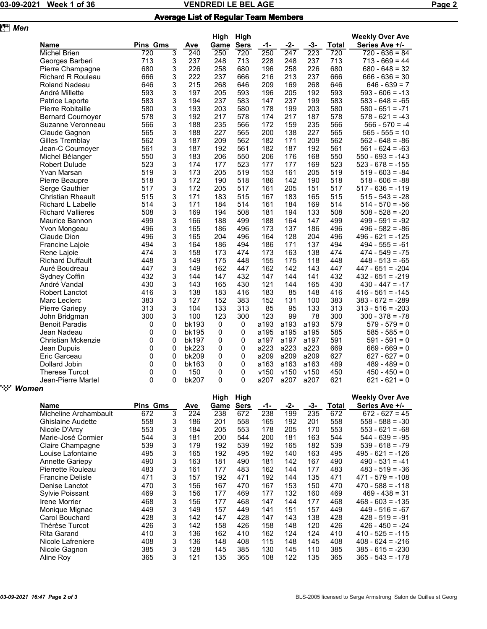**z** *Men* 

## 03-09-2021 Week 1 of 36 Network 2012 VENDREDI LE BEL AGE Network 2012 10:00 Page 2

## Average List of Regular Team Members

|                          |          |   |                  | High        | High        |      |      |      |              | <b>Weekly Over Ave</b> |
|--------------------------|----------|---|------------------|-------------|-------------|------|------|------|--------------|------------------------|
| <b>Name</b>              | Pins Gms |   | Ave              | Game        | <b>Sers</b> | -1-  | -2-  | -3-  | <b>Total</b> | Series Ave +/-         |
| Michel Brien             | 720      | 3 | $\overline{240}$ | 250         | 720         | 250  | 247  | 223  | 720          | $720 - 636 = 84$       |
| Georges Barberi          | 713      | 3 | 237              | 248         | 713         | 228  | 248  | 237  | 713          | $713 - 669 = 44$       |
| Pierre Champagne         | 680      | 3 | 226              | 258         | 680         | 196  | 258  | 226  | 680          | $680 - 648 = 32$       |
| <b>Richard R Rouleau</b> | 666      | 3 | 222              | 237         | 666         | 216  | 213  | 237  | 666          | $666 - 636 = 30$       |
| <b>Roland Nadeau</b>     | 646      | 3 | 215              | 268         | 646         | 209  | 169  | 268  | 646          | $646 - 639 = 7$        |
| André Millette           | 593      | 3 | 197              | 205         | 593         | 196  | 205  | 192  | 593          | $593 - 606 = -13$      |
| Patrice Laporte          | 583      | 3 | 194              | 237         | 583         | 147  | 237  | 199  | 583          | $583 - 648 = -65$      |
| <b>Pierre Robitaille</b> | 580      | 3 | 193              | 203         | 580         | 178  | 199  | 203  | 580          | $580 - 651 = -71$      |
| <b>Bernard Cournoyer</b> | 578      | 3 | 192              | 217         | 578         | 174  | 217  | 187  | 578          | $578 - 621 = -43$      |
| Suzanne Veronneau        | 566      | 3 | 188              | 235         | 566         | 172  | 159  | 235  | 566          | $566 - 570 = -4$       |
| Claude Gagnon            | 565      | 3 | 188              | 227         | 565         | 200  | 138  | 227  | 565          | $565 - 555 = 10$       |
| Gilles Tremblay          | 562      | 3 | 187              | 209         | 562         | 182  | 171  | 209  | 562          | $562 - 648 = -86$      |
| Jean-C Cournoyer         | 561      | 3 | 187              | 192         | 561         | 182  | 187  | 192  | 561          | $561 - 624 = -63$      |
| Michel Bélanger          | 550      | 3 | 183              | 206         | 550         | 206  | 176  | 168  | 550          | $550 - 693 = -143$     |
| <b>Robert Dulude</b>     | 523      | 3 | 174              | 177         | 523         | 177  | 177  | 169  | 523          | $523 - 678 = -155$     |
| Yvan Marsan              | 519      | 3 | 173              | 205         | 519         | 153  | 161  | 205  | 519          | $519 - 603 = -84$      |
| Pierre Beaupre           | 518      | 3 | 172              | 190         | 518         | 186  | 142  | 190  | 518          | $518 - 606 = -88$      |
| Serge Gauthier           | 517      | 3 | 172              | 205         | 517         | 161  | 205  | 151  | 517          | $517 - 636 = -119$     |
| <b>Christian Rheault</b> | 515      | 3 | 171              | 183         | 515         | 167  | 183  | 165  | 515          | $515 - 543 = -28$      |
| Richard L Labelle        | 514      | 3 | 171              | 184         | 514         | 161  | 184  | 169  | 514          | $514 - 570 = -56$      |
| <b>Richard Vallieres</b> | 508      | 3 | 169              | 194         | 508         | 181  | 194  | 133  | 508          | $508 - 528 = -20$      |
| Maurice Bannon           | 499      | 3 | 166              | 188         | 499         | 188  | 164  | 147  | 499          | $499 - 591 = -92$      |
| Yvon Mongeau             | 496      | 3 | 165              | 186         | 496         | 173  | 137  | 186  | 496          | $496 - 582 = -86$      |
| Claude Dion              | 496      | 3 | 165              | 204         | 496         | 164  | 128  | 204  | 496          | $496 - 621 = -125$     |
| Francine Lajoie          | 494      | 3 | 164              | 186         | 494         | 186  | 171  | 137  | 494          | $494 - 555 = -61$      |
| Rene Lajoie              | 474      | 3 | 158              | 173         | 474         | 173  | 163  | 138  | 474          | $474 - 549 = -75$      |
| <b>Richard Duffault</b>  | 448      | 3 | 149              | 175         | 448         | 155  | 175  | 118  | 448          | $448 - 513 = -65$      |
| Auré Boudreau            | 447      | 3 | 149              | 162         | 447         | 162  | 142  | 143  | 447          | $447 - 651 = -204$     |
| Sydney Coffin            | 432      | 3 | 144              | 147         | 432         | 147  | 144  | 141  | 432          | $432 - 651 = -219$     |
| André Vandal             | 430      | 3 | 143              | 165         | 430         | 121  | 144  | 165  | 430          | $430 - 447 = -17$      |
| <b>Robert Lanctot</b>    | 416      | 3 | 138              | 183         | 416         | 183  | 85   | 148  | 416          | $416 - 561 = -145$     |
| Marc Leclerc             | 383      | 3 | 127              | 152         | 383         | 152  | 131  | 100  | 383          | $383 - 672 = -289$     |
| Pierre Gariepy           | 313      | 3 | 104              | 133         | 313         | 85   | 95   | 133  | 313          | $313 - 516 = -203$     |
| John Bridgman            | 300      | 3 | 100              | 123         | 300         | 123  | 99   | 78   | 300          | $300 - 378 = -78$      |
| <b>Benoit Paradis</b>    | 0        | 0 | bk193            | $\mathbf 0$ | 0           | a193 | a193 | a193 | 579          | $579 - 579 = 0$        |
| Jean Nadeau              | 0        | 0 | bk195            | 0           | 0           | a195 | a195 | a195 | 585          | $585 - 585 = 0$        |
| Christian Mckenzie       | 0        | 0 | bk197            | 0           | 0           | a197 | a197 | a197 | 591          | $591 - 591 = 0$        |
| Jean Dupuis              | 0        | 0 | bk223            | 0           | 0           | a223 | a223 | a223 | 669          | $669 - 669 = 0$        |
| Eric Garceau             | 0        | 0 | bk209            | 0           | 0           | a209 | a209 | a209 | 627          | $627 - 627 = 0$        |
| Dollard Jobin            | 0        | 0 | bk163            | 0           | 0           | a163 | a163 | a163 | 489          | $489 - 489 = 0$        |
| <b>Therese Turcot</b>    | 0        | 0 | 150              | 0           | 0           | v150 | v150 | v150 | 450          | $450 - 450 = 0$        |
| Jean-Pierre Martel       | $\Omega$ | 0 | bk207            | 0           | $\Omega$    | a207 | a207 | a207 | 621          | $621 - 621 = 0$        |
| ` <sup>∙</sup> ```Women  |          |   |                  |             |             |      |      |      |              |                        |
|                          |          |   |                  |             |             |      |      |      |              |                        |

|                          |                 | High | High |      |             |     | <b>Weekly Over Ave</b> |     |       |                    |
|--------------------------|-----------------|------|------|------|-------------|-----|------------------------|-----|-------|--------------------|
| <b>Name</b>              | <b>Pins Gms</b> |      | Ave  | Game | <b>Sers</b> | -1- | -2-                    |     | Total | Series Ave +/-     |
| Micheline Archambault    | 672             | 3    | 224  | 238  | 672         | 238 | 199                    | 235 | 672   | $672 - 627 = 45$   |
| <b>Ghislaine Audette</b> | 558             | 3    | 186  | 201  | 558         | 165 | 192                    | 201 | 558   | $558 - 588 = -30$  |
| Nicole D'Arcy            | 553             | 3    | 184  | 205  | 553         | 178 | 205                    | 170 | 553   | $553 - 621 = -68$  |
| Marie-José Cormier       | 544             | 3    | 181  | 200  | 544         | 200 | 181                    | 163 | 544   | $544 - 639 = -95$  |
| Claire Champagne         | 539             | 3    | 179  | 192  | 539         | 192 | 165                    | 182 | 539   | $539 - 618 = -79$  |
| Louise Lafontaine        | 495             | 3    | 165  | 192  | 495         | 192 | 140                    | 163 | 495   | $495 - 621 = -126$ |
| <b>Annette Gariepy</b>   | 490             | 3    | 163  | 181  | 490         | 181 | 142                    | 167 | 490   | $490 - 531 = -41$  |
| Pierrette Rouleau        | 483             | 3    | 161  | 177  | 483         | 162 | 144                    | 177 | 483   | $483 - 519 = -36$  |
| <b>Francine Delisle</b>  | 471             | 3    | 157  | 192  | 471         | 192 | 144                    | 135 | 471   | $471 - 579 = -108$ |
| Denise Lanctot           | 470             | 3    | 156  | 167  | 470         | 167 | 153                    | 150 | 470   | $470 - 588 = -118$ |
| Sylvie Poissant          | 469             | 3    | 156  | 177  | 469         | 177 | 132                    | 160 | 469   | $469 - 438 = 31$   |
| Irene Morrier            | 468             | 3    | 156  | 177  | 468         | 147 | 144                    | 177 | 468   | $468 - 603 = -135$ |
| Monique Mignac           | 449             | 3    | 149  | 157  | 449         | 141 | 151                    | 157 | 449   | $449 - 516 = -67$  |
| Carol Bouchard           | 428             | 3    | 142  | 147  | 428         | 147 | 143                    | 138 | 428   | $428 - 519 = -91$  |
| Thérèse Turcot           | 426             | 3    | 142  | 158  | 426         | 158 | 148                    | 120 | 426   | $426 - 450 = -24$  |
| <b>Rita Garand</b>       | 410             | 3    | 136  | 162  | 410         | 162 | 124                    | 124 | 410   | $410 - 525 = -115$ |
| Nicole Lafreniere        | 408             | 3    | 136  | 148  | 408         | 115 | 148                    | 145 | 408   | $408 - 624 = -216$ |
| Nicole Gagnon            | 385             | 3    | 128  | 145  | 385         | 130 | 145                    | 110 | 385   | $385 - 615 = -230$ |
| Aline Roy                | 365             | 3    | 121  | 135  | 365         | 108 | 122                    | 135 | 365   | $365 - 543 = -178$ |